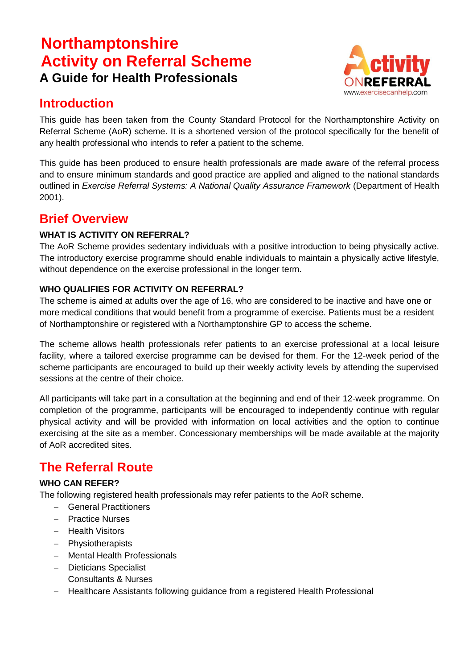# **Northamptonshire Activity on Referral Scheme A Guide for Health Professionals**



# **Introduction**

This guide has been taken from the County Standard Protocol for the Northamptonshire Activity on Referral Scheme (AoR) scheme. It is a shortened version of the protocol specifically for the benefit of any health professional who intends to refer a patient to the scheme.

This guide has been produced to ensure health professionals are made aware of the referral process and to ensure minimum standards and good practice are applied and aligned to the national standards outlined in *Exercise Referral Systems: A National Quality Assurance Framework* (Department of Health 2001).

# **Brief Overview**

## **WHAT IS ACTIVITY ON REFERRAL?**

The AoR Scheme provides sedentary individuals with a positive introduction to being physically active. The introductory exercise programme should enable individuals to maintain a physically active lifestyle, without dependence on the exercise professional in the longer term.

## **WHO QUALIFIES FOR ACTIVITY ON REFERRAL?**

The scheme is aimed at adults over the age of 16, who are considered to be inactive and have one or more medical conditions that would benefit from a programme of exercise. Patients must be a resident of Northamptonshire or registered with a Northamptonshire GP to access the scheme.

The scheme allows health professionals refer patients to an exercise professional at a local leisure facility, where a tailored exercise programme can be devised for them. For the 12-week period of the scheme participants are encouraged to build up their weekly activity levels by attending the supervised sessions at the centre of their choice.

All participants will take part in a consultation at the beginning and end of their 12-week programme. On completion of the programme, participants will be encouraged to independently continue with regular physical activity and will be provided with information on local activities and the option to continue exercising at the site as a member. Concessionary memberships will be made available at the majority of AoR accredited sites.

# **The Referral Route**

## **WHO CAN REFER?**

The following registered health professionals may refer patients to the AoR scheme.

- General Practitioners
- Practice Nurses
- Health Visitors
- Physiotherapists
- Mental Health Professionals
- Dieticians Specialist Consultants & Nurses
- Healthcare Assistants following guidance from a registered Health Professional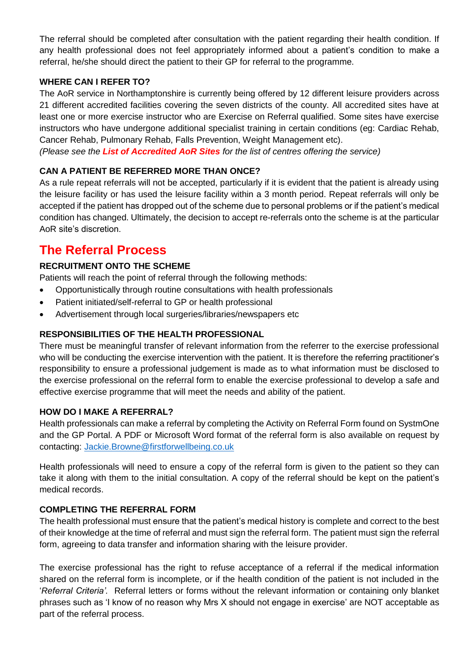The referral should be completed after consultation with the patient regarding their health condition. If any health professional does not feel appropriately informed about a patient's condition to make a referral, he/she should direct the patient to their GP for referral to the programme.

#### **WHERE CAN I REFER TO?**

The AoR service in Northamptonshire is currently being offered by 12 different leisure providers across 21 different accredited facilities covering the seven districts of the county. All accredited sites have at least one or more exercise instructor who are Exercise on Referral qualified. Some sites have exercise instructors who have undergone additional specialist training in certain conditions (eg: Cardiac Rehab, Cancer Rehab, Pulmonary Rehab, Falls Prevention, Weight Management etc).

*(Please see the List of Accredited AoR Sites for the list of centres offering the service)*

#### **CAN A PATIENT BE REFERRED MORE THAN ONCE?**

As a rule repeat referrals will not be accepted, particularly if it is evident that the patient is already using the leisure facility or has used the leisure facility within a 3 month period. Repeat referrals will only be accepted if the patient has dropped out of the scheme due to personal problems or if the patient's medical condition has changed. Ultimately, the decision to accept re-referrals onto the scheme is at the particular AoR site's discretion.

## **The Referral Process**

#### **RECRUITMENT ONTO THE SCHEME**

Patients will reach the point of referral through the following methods:

- Opportunistically through routine consultations with health professionals
- Patient initiated/self-referral to GP or health professional
- Advertisement through local surgeries/libraries/newspapers etc

#### **RESPONSIBILITIES OF THE HEALTH PROFESSIONAL**

There must be meaningful transfer of relevant information from the referrer to the exercise professional who will be conducting the exercise intervention with the patient. It is therefore the referring practitioner's responsibility to ensure a professional judgement is made as to what information must be disclosed to the exercise professional on the referral form to enable the exercise professional to develop a safe and effective exercise programme that will meet the needs and ability of the patient.

#### **HOW DO I MAKE A REFERRAL?**

Health professionals can make a referral by completing the Activity on Referral Form found on SystmOne and the GP Portal. A PDF or Microsoft Word format of the referral form is also available on request by contacting: [Jackie.Browne@firstforwellbeing.co.uk](mailto:Jackie.Browne@firstforwellbeing.co.uk)

Health professionals will need to ensure a copy of the referral form is given to the patient so they can take it along with them to the initial consultation. A copy of the referral should be kept on the patient's medical records.

#### **COMPLETING THE REFERRAL FORM**

The health professional must ensure that the patient's medical history is complete and correct to the best of their knowledge at the time of referral and must sign the referral form. The patient must sign the referral form, agreeing to data transfer and information sharing with the leisure provider.

The exercise professional has the right to refuse acceptance of a referral if the medical information shared on the referral form is incomplete, or if the health condition of the patient is not included in the '*Referral Criteria'.* Referral letters or forms without the relevant information or containing only blanket phrases such as 'I know of no reason why Mrs X should not engage in exercise' are NOT acceptable as part of the referral process.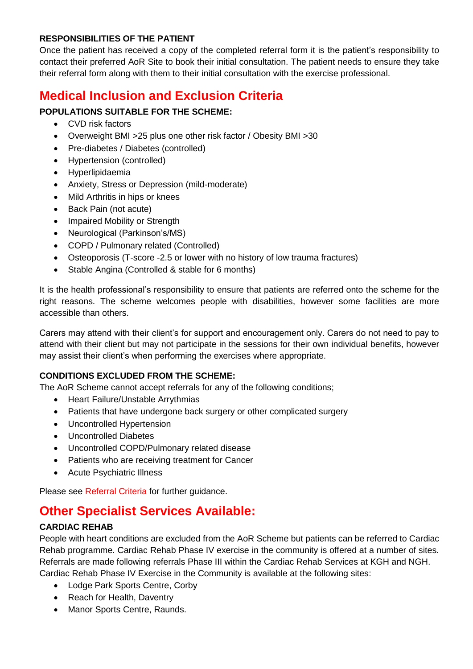#### **RESPONSIBILITIES OF THE PATIENT**

Once the patient has received a copy of the completed referral form it is the patient's responsibility to contact their preferred AoR Site to book their initial consultation. The patient needs to ensure they take their referral form along with them to their initial consultation with the exercise professional.

# **Medical Inclusion and Exclusion Criteria**

## **POPULATIONS SUITABLE FOR THE SCHEME:**

- CVD risk factors
- Overweight BMI >25 plus one other risk factor / Obesity BMI >30
- Pre-diabetes / Diabetes (controlled)
- Hypertension (controlled)
- Hyperlipidaemia
- Anxiety, Stress or Depression (mild-moderate)
- Mild Arthritis in hips or knees
- Back Pain (not acute)
- Impaired Mobility or Strength
- Neurological (Parkinson's/MS)
- COPD / Pulmonary related (Controlled)
- Osteoporosis (T-score -2.5 or lower with no history of low trauma fractures)
- Stable Angina (Controlled & stable for 6 months)

It is the health professional's responsibility to ensure that patients are referred onto the scheme for the right reasons. The scheme welcomes people with disabilities, however some facilities are more accessible than others.

Carers may attend with their client's for support and encouragement only. Carers do not need to pay to attend with their client but may not participate in the sessions for their own individual benefits, however may assist their client's when performing the exercises where appropriate.

#### **CONDITIONS EXCLUDED FROM THE SCHEME:**

The AoR Scheme cannot accept referrals for any of the following conditions;

- Heart Failure/Unstable Arrythmias
- Patients that have undergone back surgery or other complicated surgery
- Uncontrolled Hypertension
- Uncontrolled Diabetes
- Uncontrolled COPD/Pulmonary related disease
- Patients who are receiving treatment for Cancer
- Acute Psychiatric Illness

Please see Referral Criteria for further guidance.

# **Other Specialist Services Available:**

## **CARDIAC REHAB**

People with heart conditions are excluded from the AoR Scheme but patients can be referred to Cardiac Rehab programme. Cardiac Rehab Phase IV exercise in the community is offered at a number of sites. Referrals are made following referrals Phase III within the Cardiac Rehab Services at KGH and NGH. Cardiac Rehab Phase IV Exercise in the Community is available at the following sites:

- Lodge Park Sports Centre, Corby
- Reach for Health, Daventry
- Manor Sports Centre, Raunds.